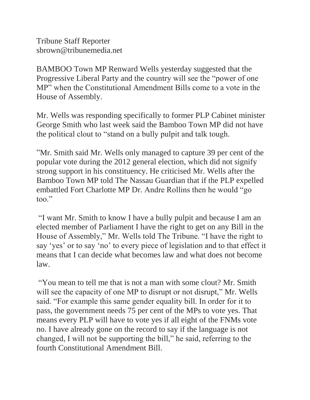Tribune Staff Reporter sbrown@tribunemedia.net

BAMBOO Town MP Renward Wells yesterday suggested that the Progressive Liberal Party and the country will see the "power of one MP" when the Constitutional Amendment Bills come to a vote in the House of Assembly.

Mr. Wells was responding specifically to former PLP Cabinet minister George Smith who last week said the Bamboo Town MP did not have the political clout to "stand on a bully pulpit and talk tough.

"Mr. Smith said Mr. Wells only managed to capture 39 per cent of the popular vote during the 2012 general election, which did not signify strong support in his constituency. He criticised Mr. Wells after the Bamboo Town MP told The Nassau Guardian that if the PLP expelled embattled Fort Charlotte MP Dr. Andre Rollins then he would "go too."

"I want Mr. Smith to know I have a bully pulpit and because I am an elected member of Parliament I have the right to get on any Bill in the House of Assembly," Mr. Wells told The Tribune. "I have the right to say 'yes' or to say 'no' to every piece of legislation and to that effect it means that I can decide what becomes law and what does not become law.

"You mean to tell me that is not a man with some clout? Mr. Smith will see the capacity of one MP to disrupt or not disrupt," Mr. Wells said. "For example this same gender equality bill. In order for it to pass, the government needs 75 per cent of the MPs to vote yes. That means every PLP will have to vote yes if all eight of the FNMs vote no. I have already gone on the record to say if the language is not changed, I will not be supporting the bill," he said, referring to the fourth Constitutional Amendment Bill.